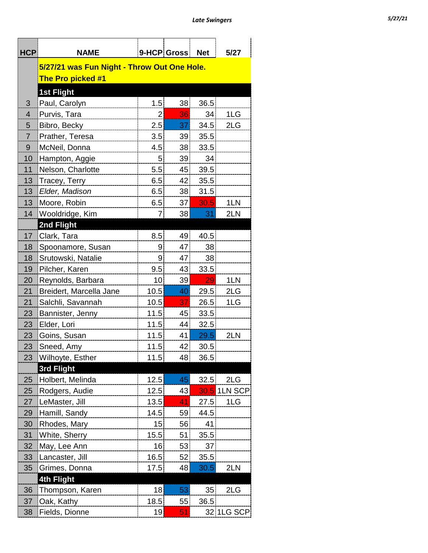| <b>HCP</b>     | <b>NAME</b>                                 |                | 9-HCP Gross | <b>Net</b>      | 5/27         |  |  |  |  |  |
|----------------|---------------------------------------------|----------------|-------------|-----------------|--------------|--|--|--|--|--|
|                | 5/27/21 was Fun Night - Throw Out One Hole. |                |             |                 |              |  |  |  |  |  |
|                | The Pro picked #1                           |                |             |                 |              |  |  |  |  |  |
|                |                                             |                |             |                 |              |  |  |  |  |  |
| 3              | <b>1st Flight</b><br>Paul, Carolyn          | 1.5            | 38          | 36.5            |              |  |  |  |  |  |
| $\overline{4}$ | Purvis, Tara                                | 2              | 36          | 34              | 1LG          |  |  |  |  |  |
| 5              | Bibro, Becky                                | 2.5            | 37          | 34.5            | 2LG          |  |  |  |  |  |
| $\overline{7}$ | Prather, Teresa                             | 3.5            | 39          | 35.5            |              |  |  |  |  |  |
| 9              | McNeil, Donna                               | 4.5            | 38          | 33.5            |              |  |  |  |  |  |
| 10             | Hampton, Aggie                              | 5 <sup>1</sup> | 39          | 34              |              |  |  |  |  |  |
| 11             | Nelson, Charlotte                           | 5.5            | 45          | 39.5            |              |  |  |  |  |  |
| 13             | Tracey, Terry                               | 6.5            | 42          | 35.5            |              |  |  |  |  |  |
| 13             | Elder, Madison                              | 6.5            | 38          | 31.5            |              |  |  |  |  |  |
| 13             | Moore, Robin                                | 6.5            | 37          | 30.5            | 1LN          |  |  |  |  |  |
| 14             | Wooldridge, Kim                             | 7              | 38          | 31              | 2LN          |  |  |  |  |  |
|                | 2nd Flight                                  |                |             |                 |              |  |  |  |  |  |
| 17             | Clark, Tara                                 | 8.5            | 49          | 40.5            |              |  |  |  |  |  |
| 18             | Spoonamore, Susan                           | 9 <sup>°</sup> | 47          | 38              |              |  |  |  |  |  |
| 18             | Srutowski, Natalie                          | $\overline{9}$ | 47          | 38              |              |  |  |  |  |  |
| 19             | Pilcher, Karen                              | 9.5            | 43          | 33.5            |              |  |  |  |  |  |
| 20             | Reynolds, Barbara                           | 10             | 39          | 29              | 1LN          |  |  |  |  |  |
| 21             | Breidert, Marcella Jane                     | 10.5           | 40          | 29.5            | 2LG          |  |  |  |  |  |
| 21             | Salchli, Savannah                           | 10.5           | 37          | 26.5            | 1LG          |  |  |  |  |  |
| 23             | Bannister, Jenny                            | 11.5           | 45          | 33.5            |              |  |  |  |  |  |
| 23             | Elder, Lori                                 | 11.5           | 44          | 32.5            |              |  |  |  |  |  |
| 23             | Goins, Susan                                | 11.5           | 41          | 29.5            | 2LN          |  |  |  |  |  |
| 23             | Sneed, Amv                                  | 11.5           | 42          | 30.5            |              |  |  |  |  |  |
| 23             | Wilhoyte, Esther                            | 11.5           | 48          | 36.5            |              |  |  |  |  |  |
|                | 3rd Flight                                  |                |             |                 |              |  |  |  |  |  |
| 25             | Holbert, Melinda                            | 12.5           | 45          | 32.5            | 2LG          |  |  |  |  |  |
| 25             | Rodgers, Audie                              | 12.5           | 43          |                 | 30.5 1LN SCP |  |  |  |  |  |
| 27             | LeMaster, Jill                              | 13.5           | 41          | 27.5            | 1LG          |  |  |  |  |  |
| 29             | Hamill, Sandy                               | 14.5           | 59          | 44.5            |              |  |  |  |  |  |
| 30             | Rhodes, Mary                                | 15             | 56          | 41              |              |  |  |  |  |  |
| 31             | White, Sherry                               | 15.5           | 51          | 35.5            |              |  |  |  |  |  |
| 32             | May, Lee Ann                                | 16             | 53          | 37              |              |  |  |  |  |  |
| 33             | Lancaster, Jill                             | 16.5           | 52          | 35.5            |              |  |  |  |  |  |
| 35             | Grimes, Donna                               | 17.5           | 48          | 30.5            | 2LN          |  |  |  |  |  |
|                | <b>4th Flight</b>                           |                |             |                 |              |  |  |  |  |  |
| 36             | Thompson, Karen                             | 18             | 53          | 35 <sub>1</sub> | 2LG          |  |  |  |  |  |
| 37             | Oak, Kathy                                  | 18.5           | 55          | 36.5            |              |  |  |  |  |  |
| 38             | Fields, Dionne                              | 19             | 51          |                 | 32 1LG SCP   |  |  |  |  |  |